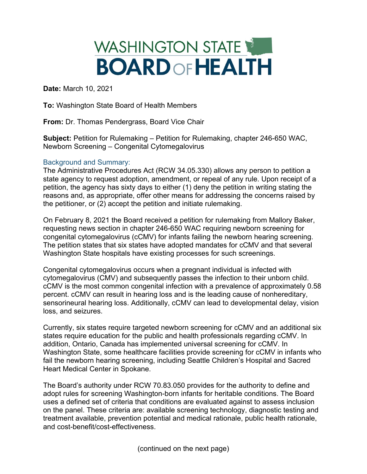## WASHINGTON STATE **BOARD OF HEALTH**

**Date:** March 10, 2021

**To:** Washington State Board of Health Members

**From:** Dr. Thomas Pendergrass, Board Vice Chair

**Subject:** Petition for Rulemaking – Petition for Rulemaking, chapter 246-650 WAC, Newborn Screening – Congenital Cytomegalovirus

## Background and Summary:

The Administrative Procedures Act (RCW 34.05.330) allows any person to petition a state agency to request adoption, amendment, or repeal of any rule. Upon receipt of a petition, the agency has sixty days to either (1) deny the petition in writing stating the reasons and, as appropriate, offer other means for addressing the concerns raised by the petitioner, or (2) accept the petition and initiate rulemaking.

On February 8, 2021 the Board received a petition for rulemaking from Mallory Baker, requesting news section in chapter 246-650 WAC requiring newborn screening for congenital cytomegalovirus (cCMV) for infants failing the newborn hearing screening. The petition states that six states have adopted mandates for cCMV and that several Washington State hospitals have existing processes for such screenings.

Congenital cytomegalovirus occurs when a pregnant individual is infected with cytomegalovirus (CMV) and subsequently passes the infection to their unborn child. cCMV is the most common congenital infection with a prevalence of approximately 0.58 percent. cCMV can result in hearing loss and is the leading cause of nonhereditary, sensorineural hearing loss. Additionally, cCMV can lead to developmental delay, vision loss, and seizures.

Currently, six states require targeted newborn screening for cCMV and an additional six states require education for the public and health professionals regarding cCMV. In addition, Ontario, Canada has implemented universal screening for cCMV. In Washington State, some healthcare facilities provide screening for cCMV in infants who fail the newborn hearing screening, including Seattle Children's Hospital and Sacred Heart Medical Center in Spokane.

The Board's authority under RCW 70.83.050 provides for the authority to define and adopt rules for screening Washington-born infants for heritable conditions. The Board uses a defined set of criteria that conditions are evaluated against to assess inclusion on the panel. These criteria are: available screening technology, diagnostic testing and treatment available, prevention potential and medical rationale, public health rationale, and cost-benefit/cost-effectiveness.